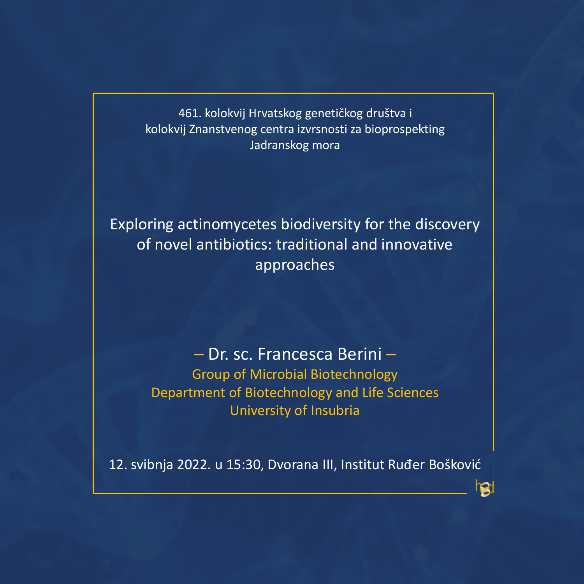461. kolokvij Hrvatskog genetičkog društva i kolokvij Znanstvenog centra izvrsnosti za bioprospekting Jadranskog mora

Exploring actinomycetes biodiversity for the discovery of novel antibiotics: traditional and innovative approaches

> – Dr. sc. Francesca Berini – Group of Microbial Biotechnology Department of Biotechnology and Life Sciences University of Insubria

12. svibnja 2022. u 15:30, Dvorana III, Institut Ruđer Bošković

ral